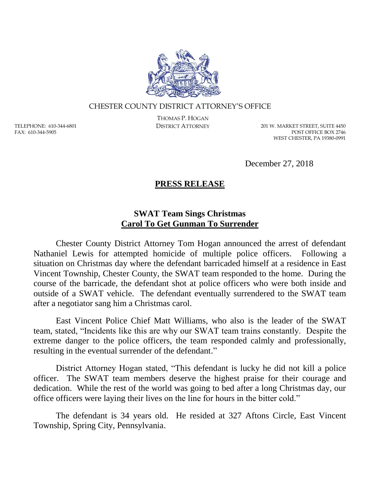

## CHESTER COUNTY DISTRICT ATTORNEY'S OFFICE

TELEPHONE: 610-344-6801 FAX: 610-344-5905

THOMAS P. HOGAN

DISTRICT ATTORNEY 201 W. MARKET STREET, SUITE 4450 POST OFFICE BOX 2746 WEST CHESTER, PA 19380-0991

December 27, 2018

## **PRESS RELEASE**

## **SWAT Team Sings Christmas Carol To Get Gunman To Surrender**

Chester County District Attorney Tom Hogan announced the arrest of defendant Nathaniel Lewis for attempted homicide of multiple police officers. Following a situation on Christmas day where the defendant barricaded himself at a residence in East Vincent Township, Chester County, the SWAT team responded to the home. During the course of the barricade, the defendant shot at police officers who were both inside and outside of a SWAT vehicle. The defendant eventually surrendered to the SWAT team after a negotiator sang him a Christmas carol.

East Vincent Police Chief Matt Williams, who also is the leader of the SWAT team, stated, "Incidents like this are why our SWAT team trains constantly. Despite the extreme danger to the police officers, the team responded calmly and professionally, resulting in the eventual surrender of the defendant."

District Attorney Hogan stated, "This defendant is lucky he did not kill a police officer. The SWAT team members deserve the highest praise for their courage and dedication. While the rest of the world was going to bed after a long Christmas day, our office officers were laying their lives on the line for hours in the bitter cold."

The defendant is 34 years old. He resided at 327 Aftons Circle, East Vincent Township, Spring City, Pennsylvania.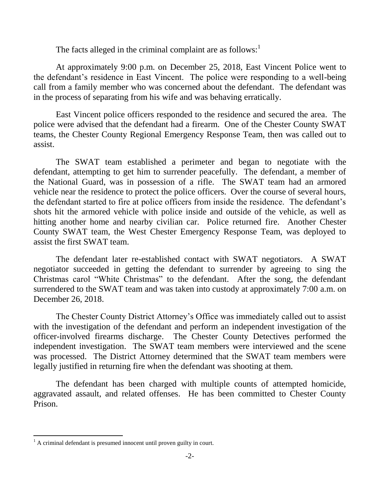The facts alleged in the criminal complaint are as follows: $<sup>1</sup>$ </sup>

At approximately 9:00 p.m. on December 25, 2018, East Vincent Police went to the defendant's residence in East Vincent. The police were responding to a well-being call from a family member who was concerned about the defendant. The defendant was in the process of separating from his wife and was behaving erratically.

East Vincent police officers responded to the residence and secured the area. The police were advised that the defendant had a firearm. One of the Chester County SWAT teams, the Chester County Regional Emergency Response Team, then was called out to assist.

The SWAT team established a perimeter and began to negotiate with the defendant, attempting to get him to surrender peacefully. The defendant, a member of the National Guard, was in possession of a rifle. The SWAT team had an armored vehicle near the residence to protect the police officers. Over the course of several hours, the defendant started to fire at police officers from inside the residence. The defendant's shots hit the armored vehicle with police inside and outside of the vehicle, as well as hitting another home and nearby civilian car. Police returned fire. Another Chester County SWAT team, the West Chester Emergency Response Team, was deployed to assist the first SWAT team.

The defendant later re-established contact with SWAT negotiators. A SWAT negotiator succeeded in getting the defendant to surrender by agreeing to sing the Christmas carol "White Christmas" to the defendant. After the song, the defendant surrendered to the SWAT team and was taken into custody at approximately 7:00 a.m. on December 26, 2018.

The Chester County District Attorney's Office was immediately called out to assist with the investigation of the defendant and perform an independent investigation of the officer-involved firearms discharge. The Chester County Detectives performed the independent investigation. The SWAT team members were interviewed and the scene was processed. The District Attorney determined that the SWAT team members were legally justified in returning fire when the defendant was shooting at them.

The defendant has been charged with multiple counts of attempted homicide, aggravated assault, and related offenses. He has been committed to Chester County Prison.

 $\overline{a}$ 

 $<sup>1</sup>$  A criminal defendant is presumed innocent until proven guilty in court.</sup>